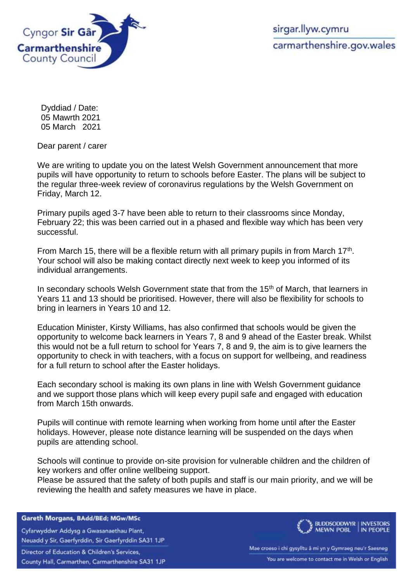

Dyddiad / Date: 05 Mawrth 2021 05 March 2021

Dear parent / carer

We are writing to update you on the latest Welsh Government announcement that more pupils will have opportunity to return to schools before Easter. The plans will be subject to the regular three-week review of coronavirus regulations by the Welsh Government on Friday, March 12.

Primary pupils aged 3-7 have been able to return to their classrooms since Monday, February 22; this was been carried out in a phased and flexible way which has been very successful.

From March 15, there will be a flexible return with all primary pupils in from March 17<sup>th</sup>. Your school will also be making contact directly next week to keep you informed of its individual arrangements.

In secondary schools Welsh Government state that from the 15<sup>th</sup> of March, that learners in Years 11 and 13 should be prioritised. However, there will also be flexibility for schools to bring in learners in Years 10 and 12.

Education Minister, Kirsty Williams, has also confirmed that schools would be given the opportunity to welcome back learners in Years 7, 8 and 9 ahead of the Easter break. Whilst this would not be a full return to school for Years 7, 8 and 9, the aim is to give learners the opportunity to check in with teachers, with a focus on support for wellbeing, and readiness for a full return to school after the Easter holidays.

Each secondary school is making its own plans in line with Welsh Government guidance and we support those plans which will keep every pupil safe and engaged with education from March 15th onwards.

Pupils will continue with remote learning when working from home until after the Easter holidays. However, please note distance learning will be suspended on the days when pupils are attending school.

Schools will continue to provide on-site provision for vulnerable children and the children of key workers and offer online wellbeing support.

Please be assured that the safety of both pupils and staff is our main priority, and we will be reviewing the health and safety measures we have in place.

Gareth Morgans, BAdd/BEd; MGw/MSc

Cyfarwyddwr Addysg a Gwasanaethau Plant, Neuadd y Sir, Gaerfyrddin, Sir Gaerfyrddin SA31 1JP

Director of Education & Children's Services,

County Hall, Carmarthen, Carmarthenshire SA31 1JP



Mae croeso i chi gysylltu â mi yn y Gymraeg neu'r Saesneg You are welcome to contact me in Welsh or English